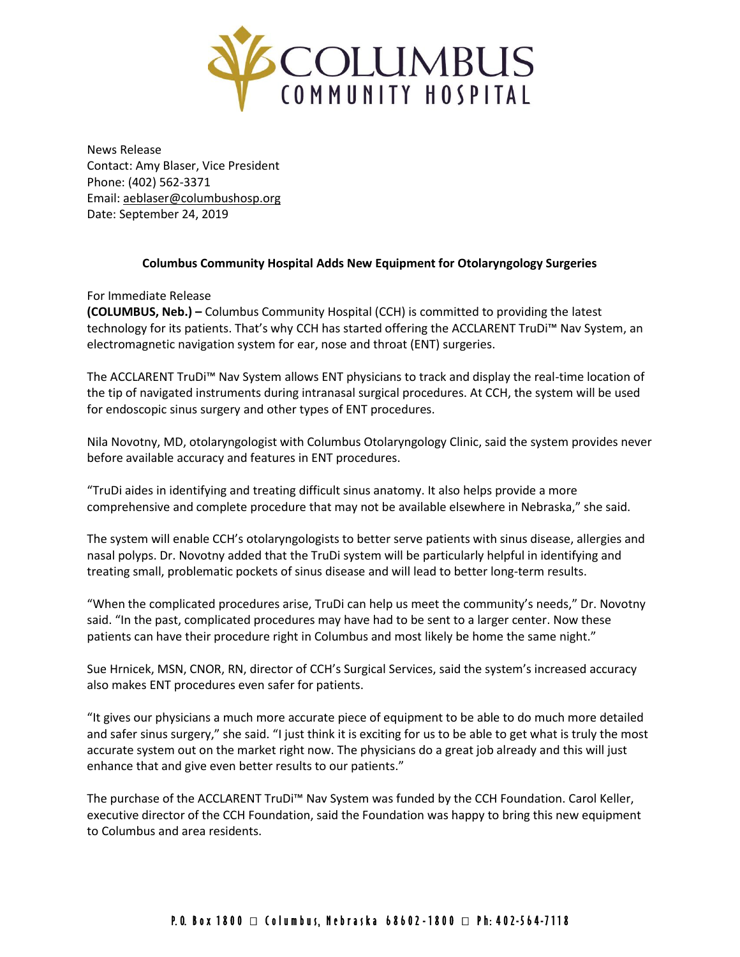

News Release Contact: Amy Blaser, Vice President Phone: (402) 562-3371 Email: [aeblaser@columbushosp.org](mailto:aeblaser@columbushosp.org) Date: September 24, 2019

## **Columbus Community Hospital Adds New Equipment for Otolaryngology Surgeries**

For Immediate Release

**(COLUMBUS, Neb.) –** Columbus Community Hospital (CCH) is committed to providing the latest technology for its patients. That's why CCH has started offering the ACCLARENT TruDi™ Nav System, an electromagnetic navigation system for ear, nose and throat (ENT) surgeries.

The ACCLARENT TruDi™ Nav System allows ENT physicians to track and display the real-time location of the tip of navigated instruments during intranasal surgical procedures. At CCH, the system will be used for endoscopic sinus surgery and other types of ENT procedures.

Nila Novotny, MD, otolaryngologist with Columbus Otolaryngology Clinic, said the system provides never before available accuracy and features in ENT procedures.

"TruDi aides in identifying and treating difficult sinus anatomy. It also helps provide a more comprehensive and complete procedure that may not be available elsewhere in Nebraska," she said.

The system will enable CCH's otolaryngologists to better serve patients with sinus disease, allergies and nasal polyps. Dr. Novotny added that the TruDi system will be particularly helpful in identifying and treating small, problematic pockets of sinus disease and will lead to better long-term results.

"When the complicated procedures arise, TruDi can help us meet the community's needs," Dr. Novotny said. "In the past, complicated procedures may have had to be sent to a larger center. Now these patients can have their procedure right in Columbus and most likely be home the same night."

Sue Hrnicek, MSN, CNOR, RN, director of CCH's Surgical Services, said the system's increased accuracy also makes ENT procedures even safer for patients.

"It gives our physicians a much more accurate piece of equipment to be able to do much more detailed and safer sinus surgery," she said. "I just think it is exciting for us to be able to get what is truly the most accurate system out on the market right now. The physicians do a great job already and this will just enhance that and give even better results to our patients."

The purchase of the ACCLARENT TruDi™ Nav System was funded by the CCH Foundation. Carol Keller, executive director of the CCH Foundation, said the Foundation was happy to bring this new equipment to Columbus and area residents.